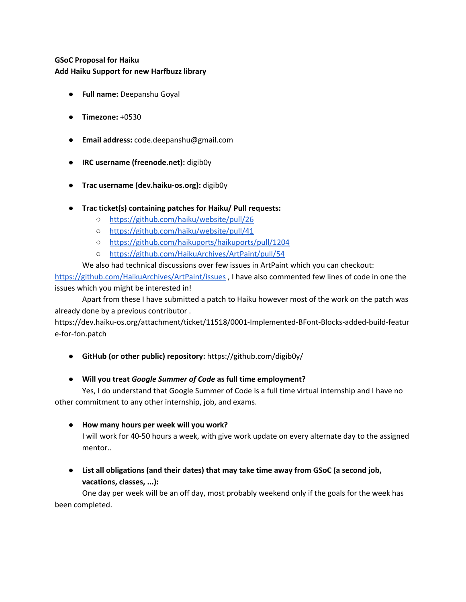# **GSoC Proposal for Haiku Add Haiku Support for new Harfbuzz library**

- **Full name:** Deepanshu Goyal
- **Timezone:** +0530
- **Email address:** code.deepanshu@gmail.com
- **IRC username (freenode.net):** digib0y
- **Trac username (dev.haiku-os.org):** digib0y
- **Trac ticket(s) containing patches for Haiku/ Pull requests:**
	- <https://github.com/haiku/website/pull/26>
	- <https://github.com/haiku/website/pull/41>
	- <https://github.com/haikuports/haikuports/pull/1204>
	- <https://github.com/HaikuArchives/ArtPaint/pull/54>

We also had technical discussions over few issues in ArtPaint which you can checkout: <https://github.com/HaikuArchives/ArtPaint/issues> , I have also commented few lines of code in one the issues which you might be interested in!

Apart from these I have submitted a patch to Haiku however most of the work on the patch was already done by a previous contributor .

https://dev.haiku-os.org/attachment/ticket/11518/0001-Implemented-BFont-Blocks-added-build-featur e-for-fon.patch

- **GitHub (or other public) repository:** https://github.com/digib0y/
- **Will you treat** *Google Summer of Code* **as full time employment?**

Yes, I do understand that Google Summer of Code is a full time virtual internship and I have no other commitment to any other internship, job, and exams.

● **How many hours per week will you work?**

I will work for 40-50 hours a week, with give work update on every alternate day to the assigned mentor..

● **List all obligations (and their dates) that may take time away from GSoC (a second job, vacations, classes, ...):**

One day per week will be an off day, most probably weekend only if the goals for the week has been completed.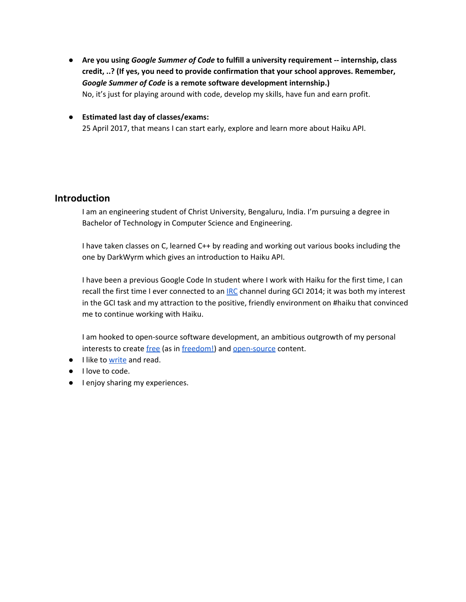- **Are you using** *Google Summer of Code* **to fulfill a university requirement -- internship, class credit, ..? (If yes, you need to provide confirmation that your school approves. Remember,** *Google Summer of Code* **is a remote software development internship.)** No, it's just for playing around with code, develop my skills, have fun and earn profit.
- **Estimated last day of classes/exams:** 25 April 2017, that means I can start early, explore and learn more about Haiku API.

# **Introduction**

I am an engineering student of Christ University, Bengaluru, India. I'm pursuing a degree in Bachelor of Technology in Computer Science and Engineering.

I have taken classes on C, learned C++ by reading and working out various books including the one by DarkWyrm which gives an introduction to Haiku API.

I have been a previous Google Code In student where I work with Haiku for the first time, I can recall the first time I ever co[n](http://en.wikipedia.org/wiki/Internet_Relay_Chat)nected to an **[IRC](http://en.wikipedia.org/wiki/Internet_Relay_Chat)** channel during GCI 2014; it was both my interest in the GCI task and my attraction to the positive, friendly environment on #haiku that convinced me to continue working with Haiku.

I am hooked to open-source software development, an ambitious outgrowth of my personal interests to create [free](https://www.gnu.org/philosophy/free-sw.html) (as i[n](http://c2.com/cgi/wiki?FreeAsInBeer) [freedom!](http://c2.com/cgi/wiki?FreeAsInBeer)) and [open-source](http://c2.com/cgi/wiki?OpenSource) content.

- I like t[o](http://quora.com/) [write](http://quora.com/) and read.
- I love to code.
- I enjoy sharing my experiences.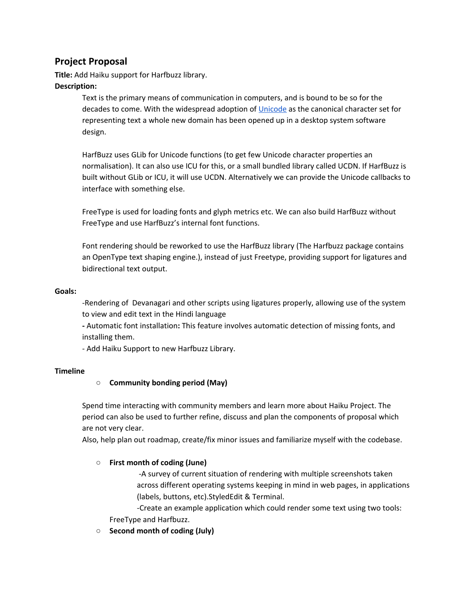# **Project Proposal**

**Title:** Add Haiku support for Harfbuzz library.

## **Description:**

Text is the primary means of communication in computers, and is bound to be so for the decades to come. With the widespread adoption o[f](http://www.unicode.org/) [Unicode](http://www.unicode.org/) as the canonical character set for representing text a whole new domain has been opened up in a desktop system software design.

HarfBuzz uses GLib for Unicode functions (to get few Unicode character properties an normalisation). It can also use ICU for this, or a small bundled library called UCDN. If HarfBuzz is built without GLib or ICU, it will use UCDN. Alternatively we can provide the Unicode callbacks to interface with something else.

FreeType is used for loading fonts and glyph metrics etc. We can also build HarfBuzz without FreeType and use HarfBuzz's internal font functions.

Font rendering should be reworked to use the HarfBuzz library (The Harfbuzz package contains an OpenType text shaping engine.), instead of just Freetype, providing support for ligatures and bidirectional text output.

#### **Goals:**

-Rendering of Devanagari and other scripts using ligatures properly, allowing use of the system to view and edit text in the Hindi language

**-** Automatic font installation**:** This feature involves automatic detection of missing fonts, and installing them.

- Add Haiku Support to new Harfbuzz Library.

## **Timeline**

## ○ **Community bonding period (May)**

Spend time interacting with community members and learn more about Haiku Project. The period can also be used to further refine, discuss and plan the components of proposal which are not very clear.

Also, help plan out roadmap, create/fix minor issues and familiarize myself with the codebase.

## **○ First month of coding (June)**

-A survey of current situation of rendering with multiple screenshots taken across different operating systems keeping in mind in web pages, in applications (labels, buttons, etc).StyledEdit & Terminal.

-Create an example application which could render some text using two tools: FreeType and Harfbuzz.

**○ Second month of coding (July)**